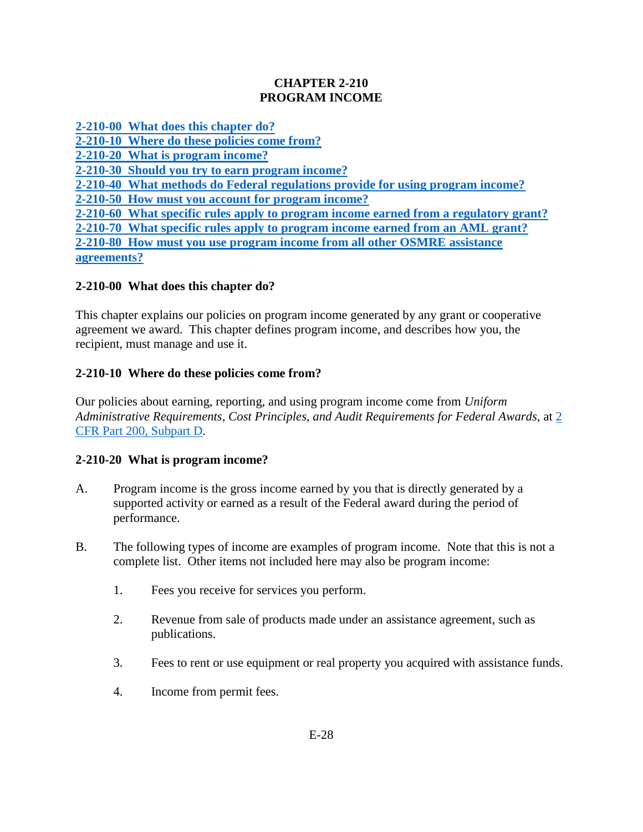### **CHAPTER 2-210 PROGRAM INCOME**

**[2-210-00 What does this chapter do?](#page-0-0)**

**[2-210-10 Where do these policies come from?](#page-0-1)**

**[2-210-20 What is program income?](#page-0-2)**

**[2-210-30 Should you try to earn program income?](#page-1-0)**

**[2-210-40 What methods do Federal regulations provide for using program income?](#page-1-1)**

**[2-210-50 How must you account for program income?](#page-2-0)**

**[2-210-60 What specific rules apply to program income earned from a regulatory grant?](#page-2-1)**

**[2-210-70 What specific rules apply to program income earned from an AML grant?](#page-3-0) [2-210-80 How must you use program income from all other OSMRE assistance](#page-3-1) [agreements?](#page-3-1)**

# <span id="page-0-0"></span>**2-210-00 What does this chapter do?**

This chapter explains our policies on program income generated by any grant or cooperative agreement we award. This chapter defines program income, and describes how you, the recipient, must manage and use it.

# <span id="page-0-1"></span>**2-210-10 Where do these policies come from?**

Our policies about earning, reporting, and using program income come from *Uniform Administrative Requirements, Cost Principles, and Audit Requirements for Federal Awards,* at [2](http://www.ecfr.gov/cgi-bin/text-idx?SID=94b7e0e32f88dc784a9e1b22aea9392c&node=pt2.1.200&rgn=div5#sp2.1.200.d)  [CFR Part 200, Subpart D](http://www.ecfr.gov/cgi-bin/text-idx?SID=94b7e0e32f88dc784a9e1b22aea9392c&node=pt2.1.200&rgn=div5#sp2.1.200.d)*.*

# <span id="page-0-2"></span>**2-210-20 What is program income?**

- A. Program income is the gross income earned by you that is directly generated by a supported activity or earned as a result of the Federal award during the period of performance.
- B. The following types of income are examples of program income. Note that this is not a complete list. Other items not included here may also be program income:
	- 1. Fees you receive for services you perform.
	- 2. Revenue from sale of products made under an assistance agreement, such as publications.
	- 3. Fees to rent or use equipment or real property you acquired with assistance funds.
	- 4. Income from permit fees.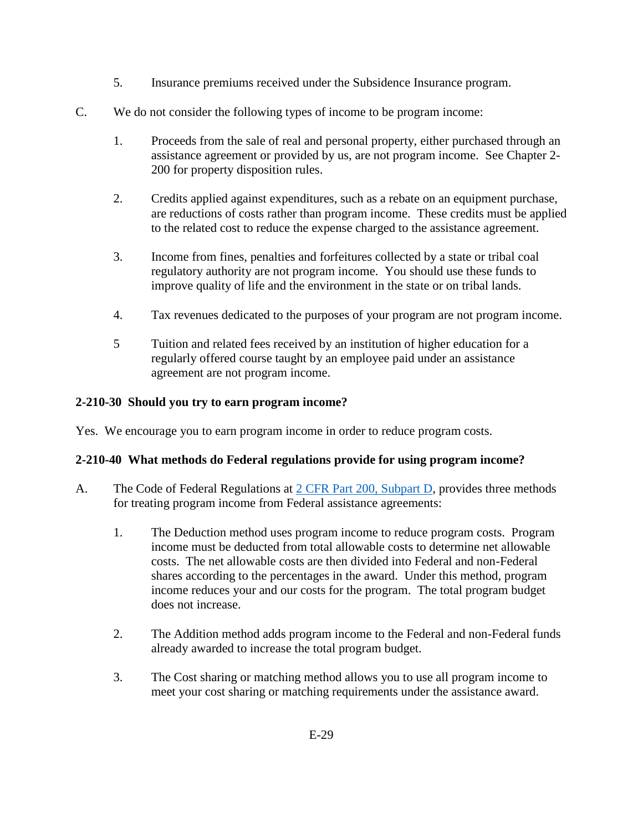- 5. Insurance premiums received under the Subsidence Insurance program.
- C. We do not consider the following types of income to be program income:
	- 1. Proceeds from the sale of real and personal property, either purchased through an assistance agreement or provided by us, are not program income. See Chapter 2- 200 for property disposition rules.
	- 2. Credits applied against expenditures, such as a rebate on an equipment purchase, are reductions of costs rather than program income. These credits must be applied to the related cost to reduce the expense charged to the assistance agreement.
	- 3. Income from fines, penalties and forfeitures collected by a state or tribal coal regulatory authority are not program income. You should use these funds to improve quality of life and the environment in the state or on tribal lands.
	- 4. Tax revenues dedicated to the purposes of your program are not program income.
	- 5 Tuition and related fees received by an institution of higher education for a regularly offered course taught by an employee paid under an assistance agreement are not program income.

### <span id="page-1-0"></span>**2-210-30 Should you try to earn program income?**

Yes. We encourage you to earn program income in order to reduce program costs.

### <span id="page-1-1"></span>**2-210-40 What methods do Federal regulations provide for using program income?**

- A. The Code of Federal Regulations at [2 CFR Part 200, Subpart D,](http://www.ecfr.gov/cgi-bin/text-idx?SID=f6ddafc06dfa494200fbc08fe01681ec&node=pt2.1.200&rgn=div5) provides three methods for treating program income from Federal assistance agreements:
	- 1. The Deduction method uses program income to reduce program costs. Program income must be deducted from total allowable costs to determine net allowable costs. The net allowable costs are then divided into Federal and non-Federal shares according to the percentages in the award. Under this method, program income reduces your and our costs for the program. The total program budget does not increase.
	- 2. The Addition method adds program income to the Federal and non-Federal funds already awarded to increase the total program budget.
	- 3. The Cost sharing or matching method allows you to use all program income to meet your cost sharing or matching requirements under the assistance award.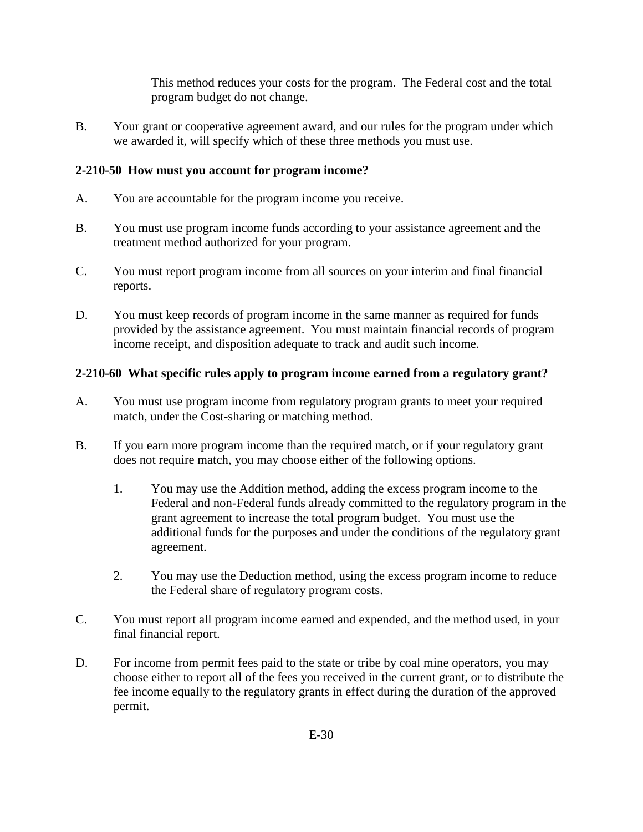This method reduces your costs for the program. The Federal cost and the total program budget do not change.

B. Your grant or cooperative agreement award, and our rules for the program under which we awarded it, will specify which of these three methods you must use.

### <span id="page-2-0"></span>**2-210-50 How must you account for program income?**

- A. You are accountable for the program income you receive.
- B. You must use program income funds according to your assistance agreement and the treatment method authorized for your program.
- C. You must report program income from all sources on your interim and final financial reports.
- D. You must keep records of program income in the same manner as required for funds provided by the assistance agreement. You must maintain financial records of program income receipt, and disposition adequate to track and audit such income.

### <span id="page-2-1"></span>**2-210-60 What specific rules apply to program income earned from a regulatory grant?**

- A. You must use program income from regulatory program grants to meet your required match, under the Cost-sharing or matching method.
- B. If you earn more program income than the required match, or if your regulatory grant does not require match, you may choose either of the following options.
	- 1. You may use the Addition method, adding the excess program income to the Federal and non-Federal funds already committed to the regulatory program in the grant agreement to increase the total program budget. You must use the additional funds for the purposes and under the conditions of the regulatory grant agreement.
	- 2. You may use the Deduction method, using the excess program income to reduce the Federal share of regulatory program costs.
- C. You must report all program income earned and expended, and the method used, in your final financial report.
- D. For income from permit fees paid to the state or tribe by coal mine operators, you may choose either to report all of the fees you received in the current grant, or to distribute the fee income equally to the regulatory grants in effect during the duration of the approved permit.